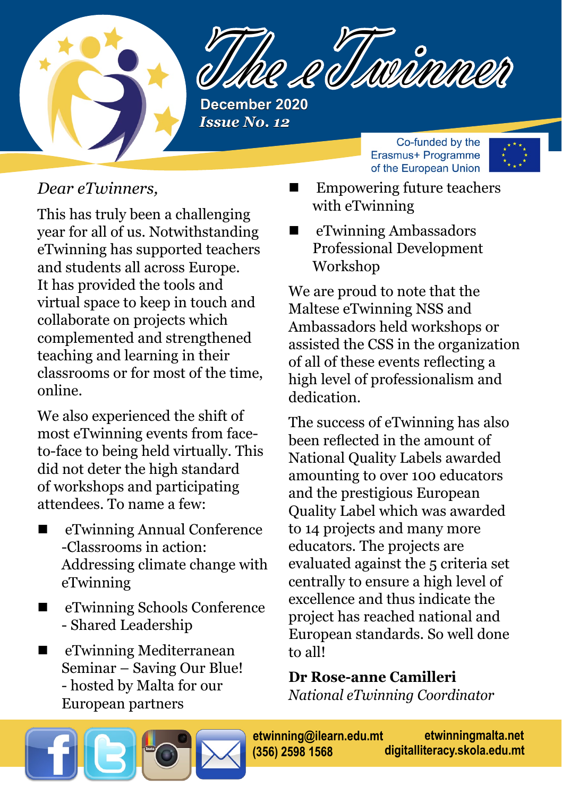

Re et souvienne

**December 2020** *Issue No. 12* 

> Co-funded by the Erasmus+ Programme of the European Union



### *Dear eTwinners,*

This has truly been a challenging year for all of us. Notwithstanding eTwinning has supported teachers and students all across Europe. It has provided the tools and virtual space to keep in touch and collaborate on projects which complemented and strengthened teaching and learning in their classrooms or for most of the time, online.

We also experienced the shift of most eTwinning events from faceto-face to being held virtually. This did not deter the high standard of workshops and participating attendees. To name a few:

- eTwinning Annual Conference -Classrooms in action: Addressing climate change with eTwinning
- eTwinning Schools Conference - Shared Leadership
- eTwinning Mediterranean Seminar – Saving Our Blue! - hosted by Malta for our European partners
- Empowering future teachers with eTwinning
- eTwinning Ambassadors Professional Development Workshop

We are proud to note that the Maltese eTwinning NSS and Ambassadors held workshops or assisted the CSS in the organization of all of these events reflecting a high level of professionalism and dedication.

The success of eTwinning has also been reflected in the amount of National Quality Labels awarded amounting to over 100 educators and the prestigious European Quality Label which was awarded to 14 projects and many more educators. The projects are evaluated against the 5 criteria set centrally to ensure a high level of excellence and thus indicate the project has reached national and European standards. So well done to all!

**Dr Rose-anne Camilleri**

*National eTwinning Coordinator*

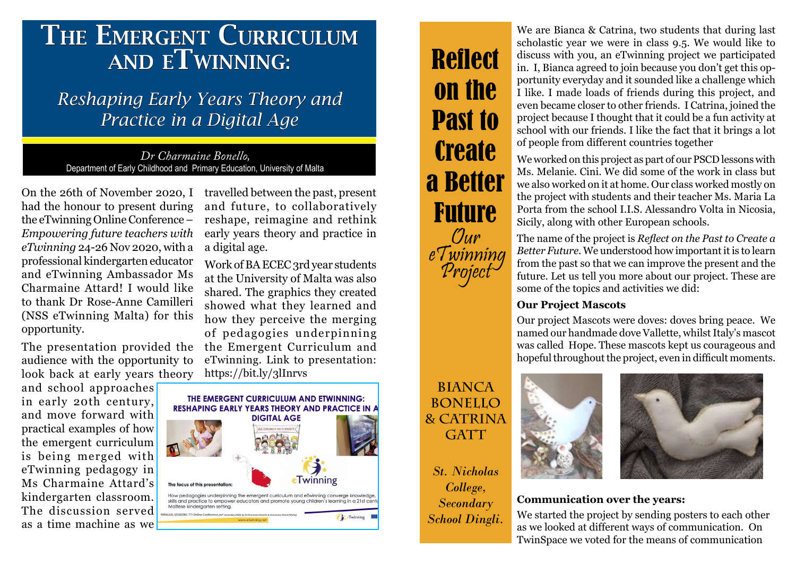# THE EMERGENT CURRICULUM and eTwinning:

## *Reshaping Early Years Theory and Practice in a Digital Age*

*Dr Charmaine Bonello,*  Department of Early Childhood and Primary Education, University of Malta

On the 26th of November 2020, I had the honour to present during the eTwinning Online Conference – *Empowering future teachers with eTwinning* 24-26 Nov 2020, with a professional kindergarten educator and eTwinning Ambassador Ms Charmaine Attard! I would like to thank Dr Rose-Anne Camilleri (NSS eTwinning Malta) for this opportunity.

The presentation provided the audience with the opportunity to look back at early years theory

and school approaches in early 20th century, and move forward with practical examples of how the emergent curriculum is being merged with eTwinning pedagogy in Ms Charmaine Attard's kindergarten classroom. The discussion served as a time machine as we

travelled between the past, present and future, to collaboratively reshape, reimagine and rethink early years theory and practice in a digital age.

Work of BA ECEC 3rd year students at the University of Malta was also shared. The graphics they created showed what they learned and how they perceive the merging of pedagogies underpinning the Emergent Curriculum and eTwinning. Link to presentation: <https://bit.ly/3lInrvs>



# **Reflect** on the Past to **Create** a Better Future Our eTwinning Project

We are Bianca & Catrina, two students that during last scholastic year we were in class 9.5. We would like to discuss with you, an eTwinning project we participated in. I, Bianca agreed to join because you don't get this opportunity everyday and it sounded like a challenge which I like. I made loads of friends during this project, and even became closer to other friends. I Catrina, joined the project because I thought that it could be a fun activity at school with our friends. I like the fact that it brings a lot of people from different countries together

We worked on this project as part of our PSCD lessons with Ms. Melanie. Cini. We did some of the work in class but we also worked on it at home. Our class worked mostly on the project with students and their teacher Ms. Maria La Porta from the school I.I.S. Alessandro Volta in Nicosia, Sicily, along with other European schools.

The name of the project is *Reflect on the Past to Create a Better Future*. We understood how important it is to learn from the past so that we can improve the present and the future. Let us tell you more about our project. These are some of the topics and activities we did:

#### **Our Project Mascots**

Our project Mascots were doves: doves bring peace. We named our handmade dove Vallette, whilst Italy's mascot was called Hope. These mascots kept us courageous and hopeful throughout the project, even in difficult moments.

## **Bianca Bonello & Catrina**  GATT

*St. Nicholas College, Secondary School Dingli.*





### **Communication over the years:**

We started the project by sending posters to each other as we looked at different ways of communication. On TwinSpace we voted for the means of communication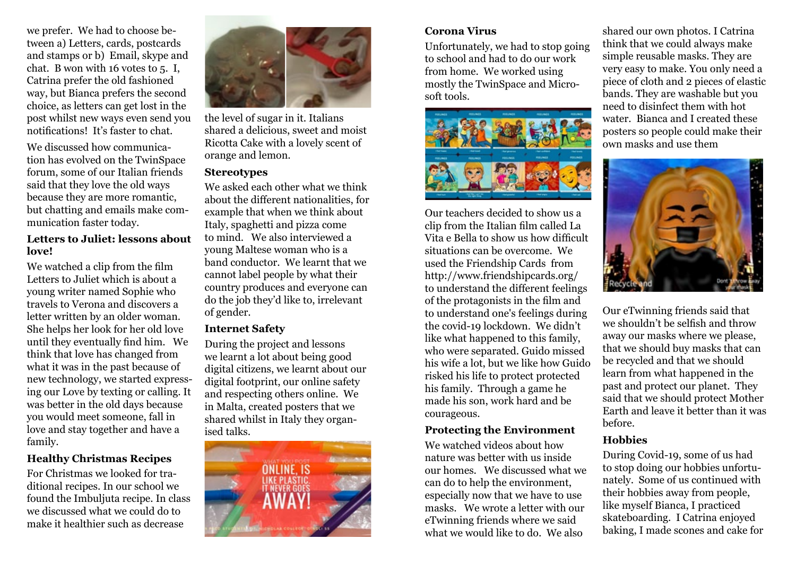we prefer. We had to choose between a) Letters, cards, postcards and stamps or b) Email, skype and chat. B won with 16 votes to 5. I, Catrina prefer the old fashioned way, but Bianca prefers the second choice, as letters can get lost in the post whilst new ways even send you notifications! It's faster to chat.

We discussed how communication has evolved on the TwinSpace forum, some of our Italian friends said that they love the old ways because they are more romantic, but chatting and emails make communication faster today.

#### **Letters to Juliet: lessons about love!**

We watched a clip from the film Letters to Juliet which is about a young writer named Sophie who travels to Verona and discovers a letter written by an older woman. She helps her look for her old love until they eventually find him. We think that love has changed from what it was in the past because of new technology, we started expressing our Love by texting or calling. It was better in the old days because you would meet someone, fall in love and stay together and have a family.

#### **Healthy Christmas Recipes**

For Christmas we looked for traditional recipes. In our school we found the Imbuljuta recipe. In class we discussed what we could do to make it healthier such as decrease



the level of sugar in it. Italians shared a delicious, sweet and moist Ricotta Cake with a lovely scent of orange and lemon.

#### **Stereotypes**

We asked each other what we think about the different nationalities, for example that when we think about Italy, spaghetti and pizza come to mind. We also interviewed a young Maltese woman who is a band conductor. We learnt that we cannot label people by what their country produces and everyone can do the job they'd like to, irrelevant of gender.

#### **Internet Safety**

During the project and lessons we learnt a lot about being good digital citizens, we learnt about our digital footprint, our online safety and respecting others online. We in Malta, created posters that we shared whilst in Italy they organised talks.



#### **Corona Virus**

Unfortunately, we had to stop going to school and had to do our work from home. We worked using mostly the TwinSpace and Microsoft tools.



Our teachers decided to show us a clip from the Italian film called La Vita e Bella to show us how difficult situations can be overcome. We used the Friendship Cards from http://www.friendshipcards.org/ to understand the different feelings of the protagonists in the film and to understand one's feelings during the covid-19 lockdown. We didn't like what happened to this family, who were separated. Guido missed his wife a lot, but we like how Guido risked his life to protect protected his family. Through a game he made his son, work hard and be courageous.

#### **Protecting the Environment**

We watched videos about how nature was better with us inside our homes. We discussed what we can do to help the environment, especially now that we have to use masks. We wrote a letter with our eTwinning friends where we said what we would like to do. We also

shared our own photos. I Catrina think that we could always make simple reusable masks. They are very easy to make. You only need a piece of cloth and 2 pieces of elastic bands. They are washable but you need to disinfect them with hot water. Bianca and I created these posters so people could make their own masks and use them



Our eTwinning friends said that we shouldn't be selfish and throw away our masks where we please, that we should buy masks that can be recycled and that we should learn from what happened in the past and protect our planet. They said that we should protect Mother Earth and leave it better than it was before.

#### **Hobbies**

During Covid-19, some of us had to stop doing our hobbies unfortunately. Some of us continued with their hobbies away from people, like myself Bianca, I practiced skateboarding. I Catrina enjoyed baking, I made scones and cake for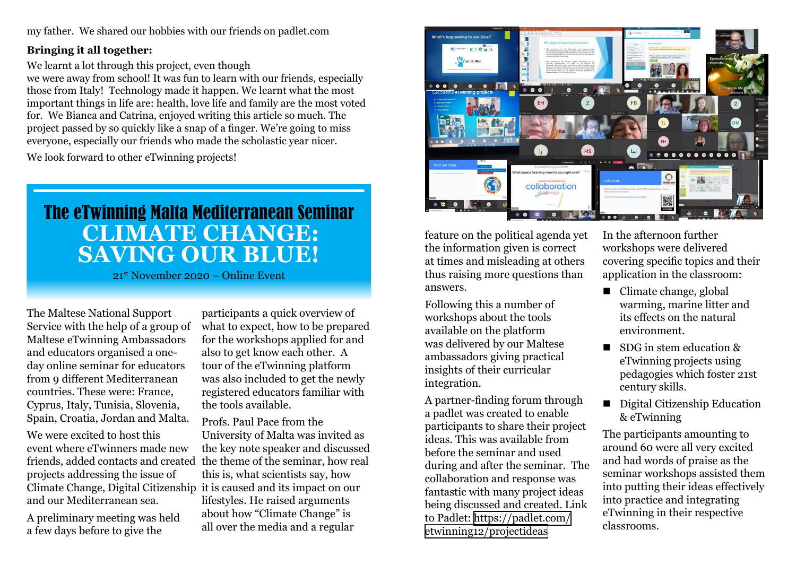my father. We shared our hobbies with our friends on padlet.com

#### **Bringing it all together:**

We learnt a lot through this project, even though

we were away from school! It was fun to learn with our friends, especially those from Italy! Technology made it happen. We learnt what the most important things in life are: health, love life and family are the most voted for. We Bianca and Catrina, enjoyed writing this article so much. The project passed by so quickly like a snap of a finger. We're going to miss everyone, especially our friends who made the scholastic year nicer.

We look forward to other eTwinning projects!

# The eTwinning Malta Mediterranean Seminar **Climate Change: Saving Our Blue!**

21st November 2020 – Online Event

The Maltese National Support Service with the help of a group of Maltese eTwinning Ambassadors and educators organised a oneday online seminar for educators from 9 different Mediterranean countries. These were: France, Cyprus, Italy, Tunisia, Slovenia, Spain, Croatia, Jordan and Malta.

We were excited to host this event where eTwinners made new friends, added contacts and created the theme of the seminar, how real projects addressing the issue of Climate Change, Digital Citizenship it is caused and its impact on our and our Mediterranean sea.

A preliminary meeting was held a few days before to give the

participants a quick overview of what to expect, how to be prepared for the workshops applied for and also to get know each other. A tour of the eTwinning platform was also included to get the newly registered educators familiar with the tools available.

Profs. Paul Pace from the University of Malta was invited as the key note speaker and discussed this is, what scientists say, how lifestyles. He raised arguments about how "Climate Change" is all over the media and a regular



feature on the political agenda yet the information given is correct at times and misleading at others thus raising more questions than answers.

Following this a number of workshops about the tools available on the platform was delivered by our Maltese ambassadors giving practical insights of their curricular integration.

A partner-finding forum through a padlet was created to enable participants to share their project ideas. This was available from before the seminar and used during and after the seminar. The collaboration and response was fantastic with many project ideas being discussed and created. Link to Padlet: [https://padlet.com/](https://www.youtube.com/watch?v=hW677ICBGEA) [etwinning12/projectideas](https://www.youtube.com/watch?v=hW677ICBGEA) 

In the afternoon further workshops were delivered covering specific topics and their application in the classroom:

- Climate change, global warming, marine litter and its effects on the natural environment.
- $\blacksquare$  SDG in stem education & eTwinning projects using pedagogies which foster 21st century skills.
- Digital Citizenship Education & eTwinning

The participants amounting to around 60 were all very excited and had words of praise as the seminar workshops assisted them into putting their ideas effectively into practice and integrating eTwinning in their respective classrooms.